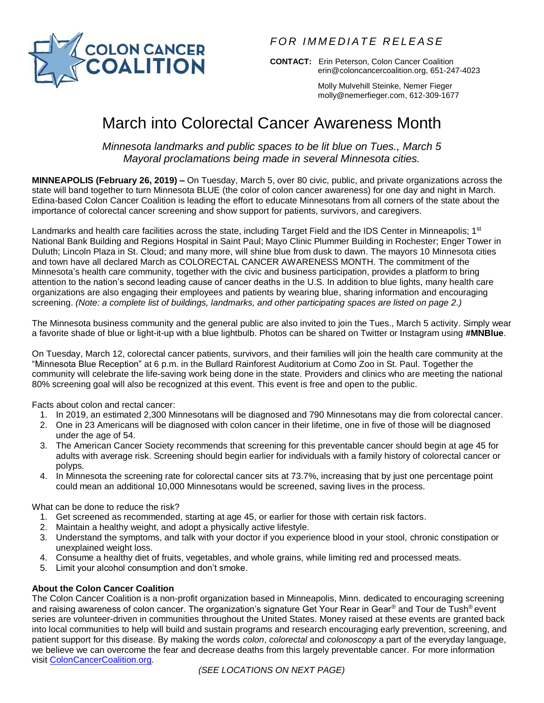

*F O R I M M E D I A T E R E L E A S E*

**CONTACT:** Erin Peterson, Colon Cancer Coalition [erin@coloncancercoalition.org,](mailto:erin@coloncancercoalition.org) 651-247-4023

> Molly Mulvehill Steinke, Nemer Fieger [molly@nemerfieger.com,](mailto:molly@nemerfieger.com) 612-309-1677

# March into Colorectal Cancer Awareness Month

*Minnesota landmarks and public spaces to be lit blue on Tues., March 5 Mayoral proclamations being made in several Minnesota cities.*

**MINNEAPOLIS (February 26, 2019) –** On Tuesday, March 5, over 80 civic, public, and private organizations across the state will band together to turn Minnesota BLUE (the color of colon cancer awareness) for one day and night in March. Edina-based Colon Cancer Coalition is leading the effort to educate Minnesotans from all corners of the state about the importance of colorectal cancer screening and show support for patients, survivors, and caregivers.

Landmarks and health care facilities across the state, including Target Field and the IDS Center in Minneapolis; 1<sup>st</sup> National Bank Building and Regions Hospital in Saint Paul; Mayo Clinic Plummer Building in Rochester; Enger Tower in Duluth; Lincoln Plaza in St. Cloud; and many more, will shine blue from dusk to dawn. The mayors 10 Minnesota cities and town have all declared March as COLORECTAL CANCER AWARENESS MONTH. The commitment of the Minnesota's health care community, together with the civic and business participation, provides a platform to bring attention to the nation's second leading cause of cancer deaths in the U.S. In addition to blue lights, many health care organizations are also engaging their employees and patients by wearing blue, sharing information and encouraging screening. *(Note: a complete list of buildings, landmarks, and other participating spaces are listed on page 2.)*

The Minnesota business community and the general public are also invited to join the Tues., March 5 activity. Simply wear a favorite shade of blue or light-it-up with a blue lightbulb. Photos can be shared on Twitter or Instagram using **#MNBlue**.

On Tuesday, March 12, colorectal cancer patients, survivors, and their families will join the health care community at the "Minnesota Blue Reception" at 6 p.m. in the Bullard Rainforest Auditorium at Como Zoo in St. Paul. Together the community will celebrate the life-saving work being done in the state. Providers and clinics who are meeting the national 80% screening goal will also be recognized at this event. This event is free and open to the public.

Facts about colon and rectal cancer:

- 1. In 2019, an estimated 2,300 Minnesotans will be diagnosed and 790 Minnesotans may die from colorectal cancer.
- 2. One in 23 Americans will be diagnosed with colon cancer in their lifetime, one in five of those will be diagnosed under the age of 54.
- 3. The American Cancer Society recommends that screening for this preventable cancer should begin at age 45 for adults with average risk. Screening should begin earlier for individuals with a family history of colorectal cancer or polyps.
- 4. In Minnesota the screening rate for colorectal cancer sits at 73.7%, increasing that by just one percentage point could mean an additional 10,000 Minnesotans would be screened, saving lives in the process.

What can be done to reduce the risk?

- 1. Get screened as recommended, starting at age 45, or earlier for those with certain risk factors.
- 2. Maintain a healthy weight, and adopt a physically active lifestyle.
- 3. Understand the symptoms, and talk with your doctor if you experience blood in your stool, chronic constipation or unexplained weight loss.
- 4. Consume a healthy diet of fruits, vegetables, and whole grains, while limiting red and processed meats.
- 5. Limit your alcohol consumption and don't smoke.

# **About the Colon Cancer Coalition**

The Colon Cancer Coalition is a non-profit organization based in Minneapolis, Minn. dedicated to encouraging screening and raising awareness of colon cancer. The organization's signature Get Your Rear in Gear® and Tour de Tush® event series are volunteer-driven in communities throughout the United States. Money raised at these events are granted back into local communities to help will build and sustain programs and research encouraging early prevention, screening, and patient support for this disease. By making the words *colon*, *colorectal* and *colonoscopy* a part of the everyday language, we believe we can overcome the fear and decrease deaths from this largely preventable cancer. For more information visit [ColonCancerCoalition.org.](http://coloncancercoalition.org/)

*(SEE LOCATIONS ON NEXT PAGE)*